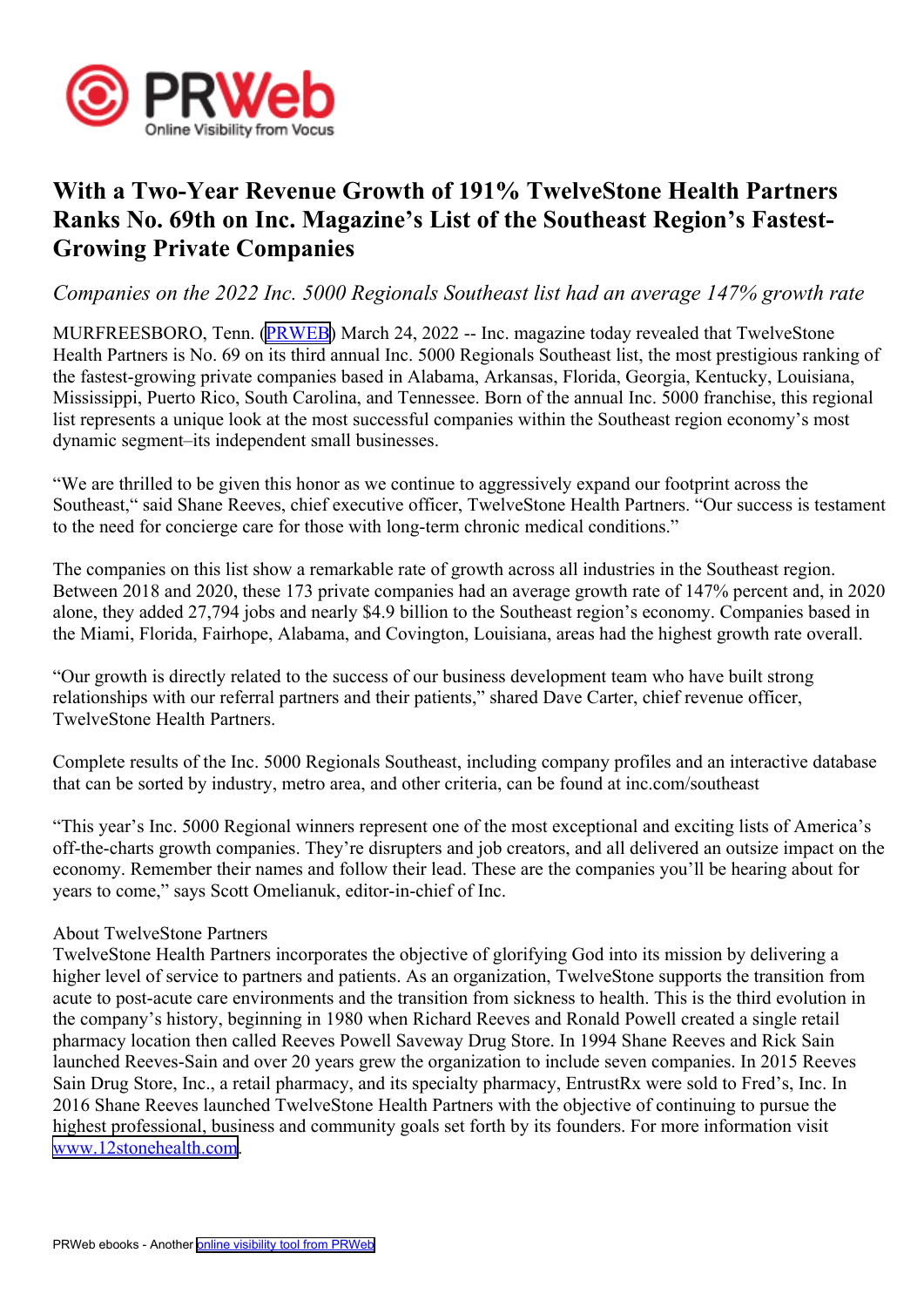

# **With <sup>a</sup> Two-Year Revenue Growth of 191% TwelveStone Health Partners Ranks No. 69th on Inc. Magazine's List of the Southeast Region's Fastest-Growing Private Companies**

## *Companies on the 2022 Inc. 5000 Regionals Southeast list had an average 147% growth rate*

MURFREESBORO, Tenn. [\(PRWEB\)](http://www.prweb.com) March 24, 2022 -- Inc. magazine today revealed that TwelveStone Health Partners is No. 69 on its third annual Inc. 5000 Regionals Southeast list, the most prestigious ranking of the fastest-growing private companies based in Alabama, Arkansas, Florida, Georgia, Kentucky, Louisiana, Mississippi, Puerto Rico, South Carolina, and Tennessee. Born of the annual Inc. 5000 franchise, this regional list represents <sup>a</sup> unique look at the most successful companies within the Southeast region economy's most dynamic segment–its independent small businesses.

"We are thrilled to be given this honor as we continue to aggressively expand our footprint across the Southeast," said Shane Reeves, chief executive officer, TwelveStone Health Partners. "Our success is testament to the need for concierge care for those with long-term chronic medical conditions."

The companies on this list show <sup>a</sup> remarkable rate of growth across all industries in the Southeast region. Between 2018 and 2020, these 173 private companies had an average growth rate of 147% percen<sup>t</sup> and, in 2020 alone, they added 27,794 jobs and nearly \$4.9 billion to the Southeast region's economy. Companies based in the Miami, Florida, Fairhope, Alabama, and Covington, Louisiana, areas had the highest growth rate overall.

"Our growth is directly related to the success of our business development team who have built strong relationships with our referral partners and their patients," shared Dave Carter, chief revenue officer, TwelveStone Health Partners.

Complete results of the Inc. 5000 Regionals Southeast, including company profiles and an interactive database that can be sorted by industry, metro area, and other criteria, can be found at inc.com/southeast

"This year's Inc. 5000 Regional winners represen<sup>t</sup> one of the most exceptional and exciting lists of America's off-the-charts growth companies. They're disrupters and job creators, and all delivered an outsize impact on the economy. Remember their names and follow their lead. These are the companies you'll be hearing about for years to come," says Scott Omelianuk, editor-in-chief of Inc.

### About TwelveStone Partners

TwelveStone Health Partners incorporates the objective of glorifying God into its mission by delivering <sup>a</sup> higher level of service to partners and patients. As an organization, TwelveStone supports the transition from acute to post-acute care environments and the transition from sickness to health. This is the third evolution in the company's history, beginning in 1980 when Richard Reeves and Ronald Powell created <sup>a</sup> single retail pharmacy location then called Reeves Powell Saveway Drug Store. In 1994 Shane Reeves and Rick Sain launched Reeves-Sain and over 20 years grew the organization to include seven companies. In 2015 Reeves Sain Drug Store, Inc., <sup>a</sup> retail pharmacy, and its specialty pharmacy, EntrustRx were sold to Fred's, Inc. In 2016 Shane Reeves launched TwelveStone Health Partners with the objective of continuing to pursue the highest professional, business and community goals set forth by its founders. For more information visit [www.12stonehealth.com](https://www.12stonehealth.com/).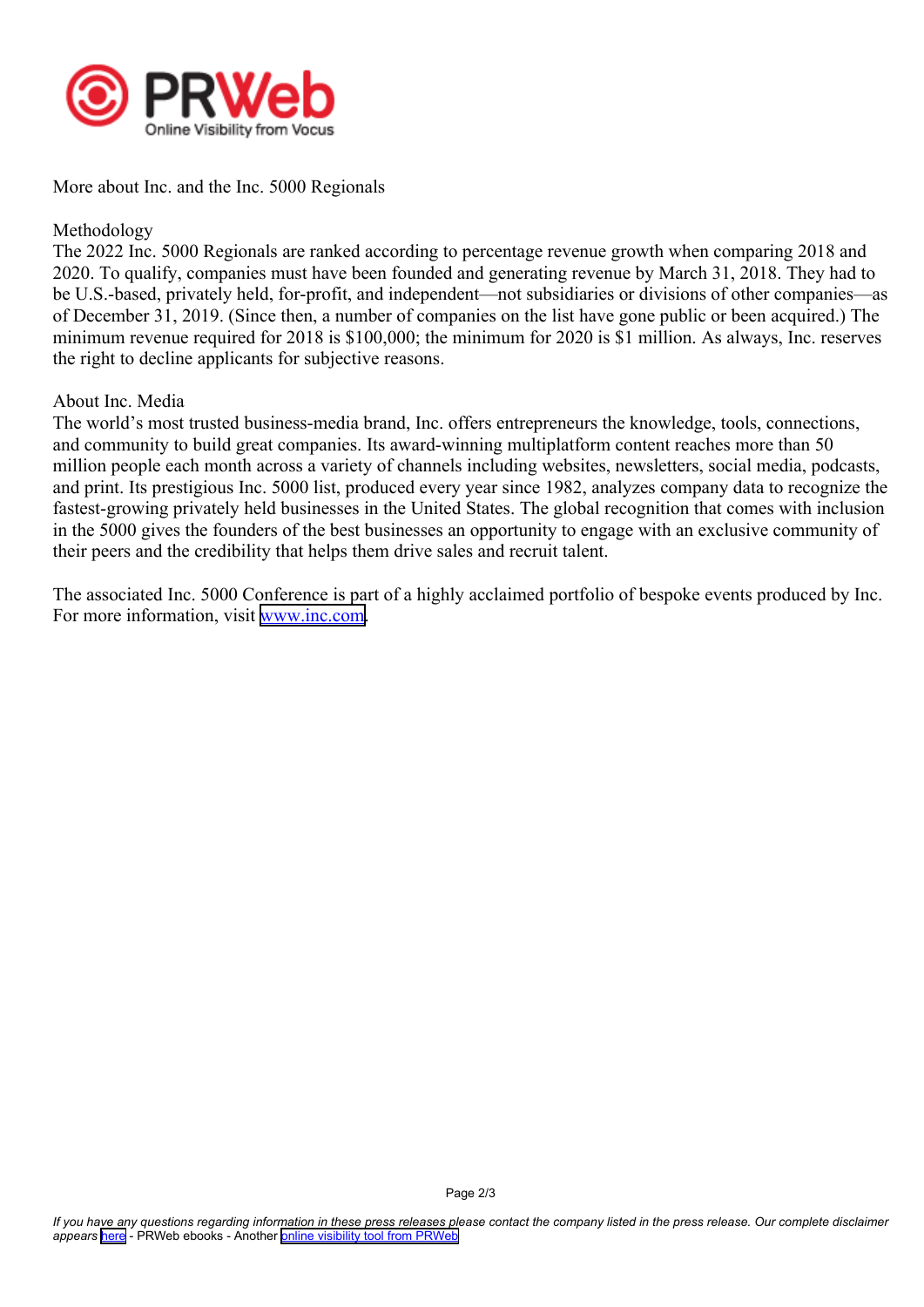

More about Inc. and the Inc. 5000 Regionals

#### Methodology

The 2022 Inc. 5000 Regionals are ranked according to percentage revenue growth when comparing 2018 and 2020. To qualify, companies must have been founded and generating revenue by March 31, 2018. They had to be U.S.-based, privately held, for-profit, and independent—not subsidiaries or divisions of other companies—as of December 31, 2019. (Since then, <sup>a</sup> number of companies on the list have gone public or been acquired.) The minimum revenue required for 2018 is \$100,000; the minimum for 2020 is \$1 million. As always, Inc. reserves the right to decline applicants for subjective reasons.

#### About Inc. Media

The world's most trusted business-media brand, Inc. offers entrepreneurs the knowledge, tools, connections, and community to build grea<sup>t</sup> companies. Its award-winning multiplatform content reaches more than 50 million people each month across <sup>a</sup> variety of channels including websites, newsletters, social media, podcasts, and print. Its prestigious Inc. 5000 list, produced every year since 1982, analyzes company data to recognize the fastest-growing privately held businesses in the United States. The global recognition that comes with inclusion in the 5000 gives the founders of the best businesses an opportunity to engage with an exclusive community of their peers and the credibility that helps them drive sales and recruit talent.

The associated Inc. 5000 Conference is par<sup>t</sup> of <sup>a</sup> highly acclaimed portfolio of bespoke events produced by Inc. For more information, visit [www.inc.com](http://www.inc.com).